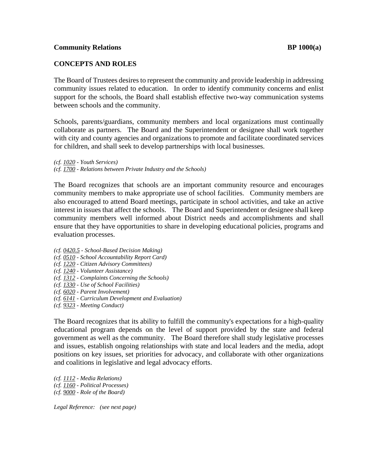## **CONCEPTS AND ROLES**

The Board of Trustees desires to represent the community and provide leadership in addressing community issues related to education. In order to identify community concerns and enlist support for the schools, the Board shall establish effective two-way communication systems between schools and the community.

Schools, parents/guardians, community members and local organizations must continually collaborate as partners. The Board and the Superintendent or designee shall work together with city and county agencies and organizations to promote and facilitate coordinated services for children, and shall seek to develop partnerships with local businesses.

*(cf. 1020 - Youth Services) (cf. 1700 - Relations between Private Industry and the Schools)* 

The Board recognizes that schools are an important community resource and encourages community members to make appropriate use of school facilities. Community members are also encouraged to attend Board meetings, participate in school activities, and take an active interest in issues that affect the schools. The Board and Superintendent or designee shall keep community members well informed about District needs and accomplishments and shall ensure that they have opportunities to share in developing educational policies, programs and evaluation processes.

- *(cf. 0420.5 School-Based Decision Making)*
- *(cf. 0510 School Accountability Report Card)*
- *(cf. 1220 Citizen Advisory Committees)*
- *(cf. 1240 Volunteer Assistance)*
- *(cf. 1312 Complaints Concerning the Schools)*
- *(cf. 1330 Use of School Facilities)*
- *(cf. 6020 Parent Involvement)*
- *(cf. 6141 Curriculum Development and Evaluation)*
- *(cf. 9323 Meeting Conduct)*

The Board recognizes that its ability to fulfill the community's expectations for a high-quality educational program depends on the level of support provided by the state and federal government as well as the community. The Board therefore shall study legislative processes and issues, establish ongoing relationships with state and local leaders and the media, adopt positions on key issues, set priorities for advocacy, and collaborate with other organizations and coalitions in legislative and legal advocacy efforts.

*(cf. 1112 - Media Relations) (cf. 1160 - Political Processes) (cf. 9000 - Role of the Board)* 

*Legal Reference: (see next page)*